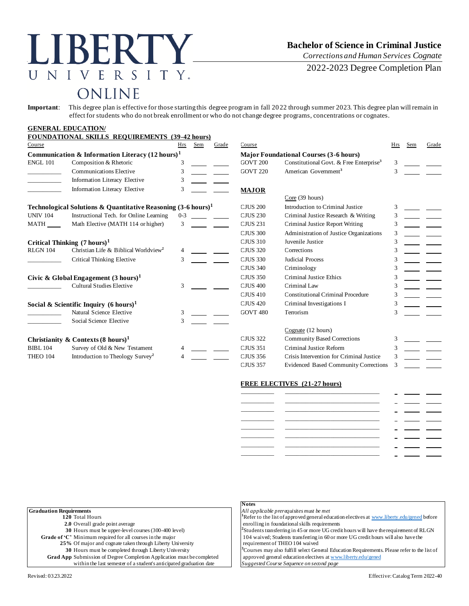### R. N E  $\rm V$ R S  $\mathbf{I}$ TY.  $\top$ ONLINE

# **Bachelor of Science in Criminal Justice**

*Corrections and Human Services Cognate*

2022-2023 Degree Completion Plan

**Important**: This degree plan is effective for those starting this degree program in fall 2022 through summer 2023. This degree plan will remain in effect for students who do not break enrollment or who do not change degree programs, concentrations or cognates.

#### **GENERAL EDUCATION/ FOUNDATIONAL SKILLS REQUIREMENTS (39-42 hours)** Course Hrs Sem Grade Course Hrs Sem Grade **Communication & Information Literacy (12 hours)<sup>1</sup> Major Foundational Courses (3-6 hours)** ENGL 101 Composition & Rhetoric 3 GOVT 200 Constitutional Govt. & Free Enterprise**<sup>3</sup>** 3 \_\_\_\_\_\_\_\_\_\_\_ Communications Elective 3 GOVT 220 American Government**<sup>3</sup>** 3 \_\_\_\_\_\_\_\_\_\_\_ Information Literacy Elective 3 Information Literacy Elective 3 **MAJOR** Core (39 hours) **Technological Solutions & Quantitative Reasoning**  $(3-6 \text{ hours})^1$  **CJUS 200 Introduction to Criminal Justice 3** UNIV 104 Instructional Tech. for Online Learning 0-3 CLUS 230 Criminal Justice Research & Writing 3 MATH Math Elective (MATH 114 or higher) 3 \_\_\_\_\_\_ CJUS 231 Criminal Justice Report Writing 3 CJUS 300 Administration of Justice Organizations 3 **Critical Thinking (7 hours)<sup>1</sup>** CJUS 310 Juvenile Justice 3 RLGN 104 Christian Life & Biblical Worldview**<sup>2</sup>** 4 CJUS 320 Corrections 3 Critical Thinking Elective 3 \_\_\_\_\_\_\_\_\_\_\_\_\_\_\_\_\_\_\_\_\_\_\_\_\_\_\_\_\_\_\_\_\_\_CJUS 330 Judicial Process 3 CJUS 340 Criminology 3 **Civic & Global Engagement (3 hours)<sup>1</sup> CJUS 350 Criminal Justice Ethics 3** Cultural Studies Elective 3 CJUS 400 Criminal Law 3 3 CJUS 410 Constitutional Criminal Procedure 3 **Social & Scientific Inquiry (6 hours)<sup>1</sup>** CJUS 420 Criminal Investigations I 3 Natural Science Elective 3 GOVT 480 Terrorism 3 3 Social Science Elective Cognate (12 hours) **Christianity & Contexts (8 hours)<sup>1</sup> CJUS 322 Community Based Corrections** 3 BIBL 104 Survey of Old & New Testament 4 CJUS 351 Criminal Justice Reform 3 THEO 104 Introduction to Theology Survey<sup>2</sup> 4 CJUS 356 Crisis Intervention for Criminal Justice 3 CJUS 357 Evidenced Based Community Corrections 3

#### **FREE ELECTIVES (21-27 hours)**

**Notes**

| ____________                                    |                                                                                                                                                                                                                                      |                          |  |
|-------------------------------------------------|--------------------------------------------------------------------------------------------------------------------------------------------------------------------------------------------------------------------------------------|--------------------------|--|
| the contract of the contract of the contract of | <u> El antiga de la contenentación de la contenentación de la contenentación de la contenentación de la contenentación de la contenentación de la contenentación de la contenentación de la contenentación de la contenentación </u> |                          |  |
|                                                 |                                                                                                                                                                                                                                      |                          |  |
|                                                 |                                                                                                                                                                                                                                      |                          |  |
|                                                 |                                                                                                                                                                                                                                      |                          |  |
|                                                 |                                                                                                                                                                                                                                      |                          |  |
|                                                 |                                                                                                                                                                                                                                      | <b>Service Contracts</b> |  |
|                                                 |                                                                                                                                                                                                                                      |                          |  |
|                                                 |                                                                                                                                                                                                                                      |                          |  |

| <b>Graduation Requirements</b>                                         | All applicable prerequisites must be met                                                                 |
|------------------------------------------------------------------------|----------------------------------------------------------------------------------------------------------|
| 120 Total Hours                                                        | <sup>1</sup> Refer to the list of approved general education electives at www.liberty.edu/gened before   |
| 2.0 Overall grade point average                                        | enrolling in foundational skills requirements                                                            |
| 30 Hours must be upper-level courses (300-400 level)                   | <sup>2</sup> Students transferring in 45 or more UG credit hours will have the requirement of RLGN       |
| Grade of 'C' Minimum required for all courses in the major             | 104 waived; Students transferring in 60 or more UG credit hours will also have the                       |
| 25% Of major and cognate taken through Liberty University              | requirement of THEO 104 waived                                                                           |
| 30 Hours must be completed through Liberty University                  | <sup>3</sup> Courses may also fulfill select General Education Requirements. Please refer to the list of |
| Grad App Submission of Degree Completion Application must be completed | approved general education electives at www.liberty.edu/gened                                            |
| within the last semester of a student's anticipated graduation date    | Suggested Course Sequence on second page                                                                 |